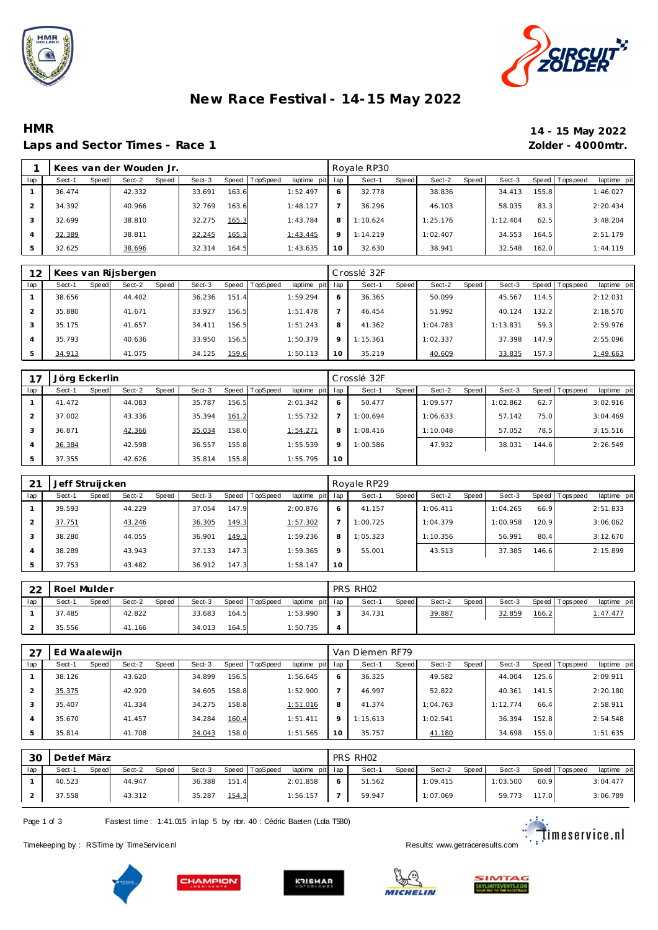



# **New Race Festival - 14-15 May 2022**

#### **HMR 14 - 15 May 2022** Laps and Sector Times - Race 1

| 14 - 15 May 2022  |
|-------------------|
| Zolder - 4000mtr. |

|     |        |       | Kees van der Wouden Jr. |       |        |       |          |                 |         | Royale RP30 |       |          |       |          |       |                |             |
|-----|--------|-------|-------------------------|-------|--------|-------|----------|-----------------|---------|-------------|-------|----------|-------|----------|-------|----------------|-------------|
| lap | Sect-1 | Speed | Sect-2                  | Speed | Sect-3 | Speed | TopSpeed | laptime pit lap |         | Sect-1      | Speed | Sect-2   | Speed | Sect-3   |       | Speed Topspeed | laptime pit |
|     | 36.474 |       | 42.332                  |       | 33.691 | 163.6 |          | 1:52.497        | 6       | 32.778      |       | 38.836   |       | 34.413   | 155.8 |                | 1:46.027    |
|     | 34.392 |       | 40.966                  |       | 32.769 | 163.6 |          | 1:48.127        |         | 36.296      |       | 46.103   |       | 58.035   | 83.3  |                | 2:20.434    |
|     | 32.699 |       | 38.810                  |       | 32.275 | 165.3 |          | 1:43.784        | 8       | 1:10.624    |       | 1:25.176 |       | 1:12.404 | 62.5  |                | 3:48.204    |
|     | 32.389 |       | 38.811                  |       | 32.245 | 165.3 |          | 1:43.445        | $\circ$ | 1:14.219    |       | 1:02.407 |       | 34.553   | 164.5 |                | 2:51.179    |
| 5   | 32.625 |       | 38.696                  |       | 32.314 | 164.5 |          | 1:43.635        | 10      | 32.630      |       | 38.941   |       | 32.548   | 162.0 |                | 1:44.119    |

| 12  |        |       | Kees van Rijsbergen |       |        |       |          |                 |         | Crosslé 32F |              |          |       |          |       |                |             |
|-----|--------|-------|---------------------|-------|--------|-------|----------|-----------------|---------|-------------|--------------|----------|-------|----------|-------|----------------|-------------|
| lap | Sect-1 | Speed | Sect-2              | Speed | Sect-3 | Speed | TopSpeed | laptime pit lap |         | Sect-1      | <b>Speed</b> | Sect-2   | Speed | Sect-3   |       | Speed Topspeed | laptime pit |
|     | 38.656 |       | 44.402              |       | 36.236 | 151.4 |          | 1:59.294        | 6       | 36.365      |              | 50.099   |       | 45.567   | 114.5 |                | 2:12.031    |
|     | 35.880 |       | 41.671              |       | 33.927 | 156.5 |          | 1:51.478        |         | 46.454      |              | 51.992   |       | 40.124   | 132.2 |                | 2:18.570    |
| 3   | 35.175 |       | 41.657              |       | 34.411 | 156.5 |          | 1:51.243        | 8       | 41.362      |              | 1:04.783 |       | 1:13.831 | 59.3  |                | 2:59.976    |
| 4   | 35.793 |       | 40.636              |       | 33.950 | 156.5 |          | 1:50.379        | $\circ$ | 1:15.361    |              | 1:02.337 |       | 37.398   | 147.9 |                | 2:55.096    |
|     | 34.913 |       | 41.075              |       | 34.125 | 159.6 |          | 1:50.113        | 10      | 35.219      |              | 40.609   |       | 33.835   | 157.3 |                | 1:49.663    |

| 17  | Jörg Eckerlin |       |        |       |        |       |          |             |         | Crosslé 32F |       |          |       |          |       |                |             |
|-----|---------------|-------|--------|-------|--------|-------|----------|-------------|---------|-------------|-------|----------|-------|----------|-------|----------------|-------------|
| lap | Sect-1        | Speed | Sect-2 | Speed | Sect-3 | Speed | TopSpeed | laptime pit | lap     | Sect-1      | Speed | Sect-2   | Speed | Sect-3   |       | Speed Topspeed | laptime pit |
|     | 41.472        |       | 44.083 |       | 35.787 | 156.5 |          | 2:01.342    | 6       | 50.477      |       | 1:09.577 |       | 1:02.862 | 62.7  |                | 3:02.916    |
|     | 37.002        |       | 43.336 |       | 35.394 | 161.2 |          | 1:55.732    |         | 1:00.694    |       | 1:06.633 |       | 57.142   | 75.0  |                | 3:04.469    |
|     | 36.871        |       | 42.366 |       | 35.034 | 158.0 |          | 1:54.271    | 8       | 1:08.416    |       | 1:10.048 |       | 57.052   | 78.5  |                | 3:15.516    |
| 4   | 36.384        |       | 42.598 |       | 36.557 | 155.8 |          | 1:55.539    | $\circ$ | 1:00.586    |       | 47.932   |       | 38.031   | 144.6 |                | 2:26.549    |
| 5   | 37.355        |       | 42.626 |       | 35.814 | 155.8 |          | 1:55.795    | 10      |             |       |          |       |          |       |                |             |

| 21  | Jeff Struijcken |       |        |       |        |       |          |             |         | Royale RP29 |       |          |       |          |       |                 |             |
|-----|-----------------|-------|--------|-------|--------|-------|----------|-------------|---------|-------------|-------|----------|-------|----------|-------|-----------------|-------------|
| lap | Sect-1          | Speed | Sect-2 | Speed | Sect-3 | Speed | TopSpeed | laptime pit | lap     | Sect-1      | Speed | Sect-2   | Speed | Sect-3   |       | Speed Tops peed | laptime pit |
|     | 39.593          |       | 44.229 |       | 37.054 | 147.9 |          | 2:00.876    | 6       | 41.157      |       | 1:06.411 |       | 1:04.265 | 66.9  |                 | 2:51.833    |
|     | 37.751          |       | 43.246 |       | 36.305 | 149.3 |          | 1:57.302    |         | 1:00.725    |       | 1:04.379 |       | 1:00.958 | 120.9 |                 | 3:06.062    |
|     | 38.280          |       | 44.055 |       | 36.901 | 149.3 |          | 1:59.236    | 8       | 1:05.323    |       | 1:10.356 |       | 56.991   | 80.4  |                 | 3:12.670    |
|     | 38.289          |       | 43.943 |       | 37.133 | 147.3 |          | 1:59.365    | $\circ$ | 55.001      |       | 43.513   |       | 37.385   | 146.6 |                 | 2:15.899    |
|     | 37.753          |       | 43.482 |       | 36.912 | 147.3 |          | 1:58.147    | 10      |             |       |          |       |          |       |                 |             |

| 22  | Roel Mulder |       |        |       |        |       |                |                 |   | PRS RH02 |       |        |       |        |       |                 |                 |
|-----|-------------|-------|--------|-------|--------|-------|----------------|-----------------|---|----------|-------|--------|-------|--------|-------|-----------------|-----------------|
| lap | Sect-1      | Speed | Sect-2 | Speed | Sect-3 |       | Speed TopSpeed | laptime pit lap |   | Sect-1   | Speed | Sect-2 | Speed | Sect-3 |       | Speed Tops peed | laptime pit     |
|     | 37.485      |       | 42.822 |       | 33.683 | 164.5 |                | 1:53.990        |   | 34.731   |       | 39.887 |       | 32.859 | 166.2 |                 | <u>1:47.477</u> |
|     | 35.556      |       | 41.166 |       | 34.013 | 164.5 |                | 1:50.735        | Δ |          |       |        |       |        |       |                 |                 |

|     | Ed Waalewijn |       |        |       |        |       |          |                 |         | Van Diemen RF79 |       |          |       |          |       |                 |             |
|-----|--------------|-------|--------|-------|--------|-------|----------|-----------------|---------|-----------------|-------|----------|-------|----------|-------|-----------------|-------------|
| lap | Sect-1       | Speed | Sect-2 | Speed | Sect-3 | Speed | TopSpeed | laptime pit lap |         | Sect-1          | Speed | Sect-2   | Speed | Sect-3   |       | Speed Tops peed | laptime pit |
|     | 38.126       |       | 43.620 |       | 34.899 | 156.5 |          | 1:56.645        | 6       | 36.325          |       | 49.582   |       | 44.004   | 125.6 |                 | 2:09.911    |
|     | 35.375       |       | 42.920 |       | 34.605 | 158.8 |          | 1:52.900        |         | 46.997          |       | 52.822   |       | 40.361   | 141.5 |                 | 2:20.180    |
|     | 35.407       |       | 41.334 |       | 34.275 | 158.8 |          | 1:51.016        | 8       | 41.374          |       | 1:04.763 |       | 1:12.774 | 66.4  |                 | 2:58.911    |
|     | 35.670       |       | 41.457 |       | 34.284 | 160.4 |          | 1:51.411        | $\circ$ | 1:15.613        |       | 1:02.541 |       | 36.394   | 152.8 |                 | 2:54.548    |
|     | 35.814       |       | 41.708 |       | 34.043 | 158.0 |          | 1:51.565        | 10      | 35.757          |       | 41.180   |       | 34.698   | 155.0 |                 | 1:51.635    |

| 30  | Detlef März |       |        |              |        |       |                |                 |   | PRS RH <sub>02</sub> |       |          |       |          |       |                 |             |
|-----|-------------|-------|--------|--------------|--------|-------|----------------|-----------------|---|----------------------|-------|----------|-------|----------|-------|-----------------|-------------|
| lap | Sect-1      | Speed | Sect-2 | <b>Speed</b> | Sect-3 |       | Speed TopSpeed | laptime pit lap |   | Sect-1               | Speed | Sect-2   | Speed | Sect-3   |       | Speed Tops peed | laptime pit |
|     | 40.523      |       | 44.947 |              | 36.388 | 151.4 |                | 2:01.858        | O | 51.562               |       | 1:09.415 |       | 1:03.500 | 60.9  |                 | 3:04.477    |
|     | 37.558      |       | 43.312 |              | 35.287 | 154.3 |                | 1:56.157        |   | 59.947               |       | 1:07.069 |       | 59.773   | 117.0 |                 | 3:06.789    |

Page 1 of 3 Fastest time: 1:41.015 in lap 5 by rbr. 40 : Cédric Baeten (Lola T580)

<u>estara</u>:<br>Continues ervice.nl

Timekeeping by : RSTime by TimeServ ice.nl **Results:** We are a state of the Service of the Service of the Service of the Service of the Service of the Service of the Service of the Service of the Service of the Service of







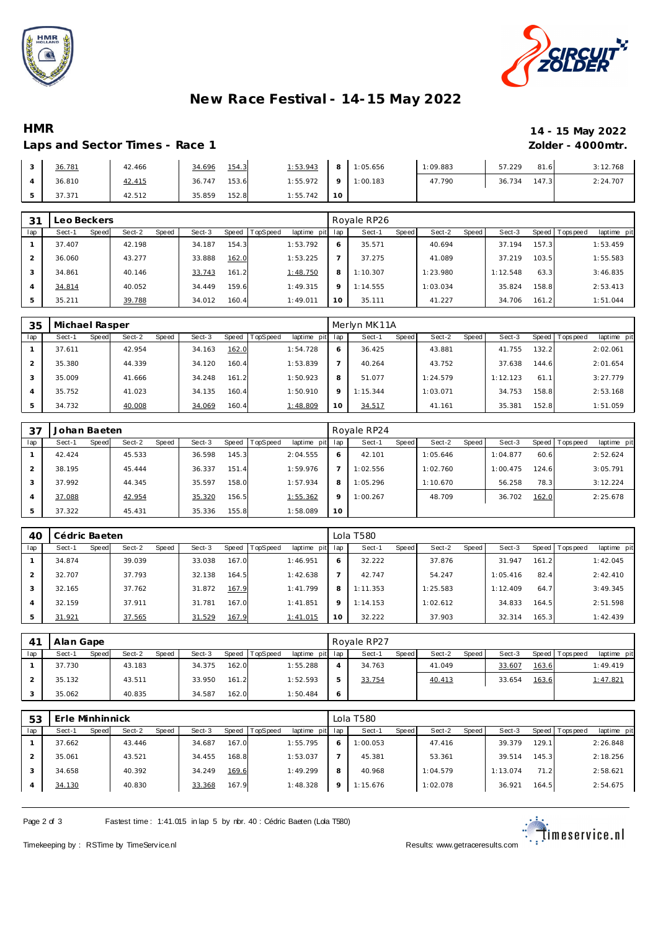



# **New Race Festival - 14-15 May 2022**

### **HMR 14 - 15 May 2022**

### Laps and Sector Times - Race 1 *Zolder - 4000mtr.*

| 36.781 | 42.466 | 154.3<br>34.696 | 1:53.943 |    | 8 1:05.656        | 1:09.883 | 57.229 | 81.6  | 3:12.768 |
|--------|--------|-----------------|----------|----|-------------------|----------|--------|-------|----------|
| 36.810 | 42.415 | 153.6<br>36.747 | 1:55.972 |    | $9 \mid 1:00.183$ | 47.790   | 36.734 | 147.3 | 2:24.707 |
| 37.371 | 42.512 | 152.8<br>35.859 | 1:55.742 | 10 |                   |          |        |       |          |

| 31  | eo Beckers. |       |        |       |        |       |                 |             |              | Royale RP26 |       |          |       |          |       |                 |             |
|-----|-------------|-------|--------|-------|--------|-------|-----------------|-------------|--------------|-------------|-------|----------|-------|----------|-------|-----------------|-------------|
| lap | Sect-1      | Speed | Sect-2 | Speed | Sect-3 | Speed | <b>TopSpeed</b> | laptime pit | lap          | Sect-1      | Speed | Sect-2   | Speed | Sect-3   |       | Speed Tops peed | laptime pit |
|     | 37.407      |       | 42.198 |       | 34.187 | 154.3 |                 | 1:53.792    | <sup>6</sup> | 35.571      |       | 40.694   |       | 37.194   | 157.3 |                 | 1:53.459    |
|     | 36.060      |       | 43.277 |       | 33.888 | 162.0 |                 | 1:53.225    |              | 37.275      |       | 41.089   |       | 37.219   | 103.5 |                 | 1:55.583    |
|     | 34.861      |       | 40.146 |       | 33.743 | 161.2 |                 | 1:48.750    | 8            | 1:10.307    |       | 1:23.980 |       | 1:12.548 | 63.3  |                 | 3:46.835    |
|     | 34.814      |       | 40.052 |       | 34.449 | 159.6 |                 | 1:49.315    | $\circ$      | 1:14.555    |       | 1:03.034 |       | 35.824   | 158.8 |                 | 2:53.413    |
|     | 35.211      |       | 39.788 |       | 34.012 | 160.4 |                 | 1:49.011    | 10           | 35.111      |       | 41.227   |       | 34.706   | 161.2 |                 | 1:51.044    |

| 35  | Michael Rasper |              |        |       |        |           |                 |             |          | Merlyn MK11A |       |          |       |             |       |                |             |
|-----|----------------|--------------|--------|-------|--------|-----------|-----------------|-------------|----------|--------------|-------|----------|-------|-------------|-------|----------------|-------------|
| lap | Sect-1         | <b>Speed</b> | Sect-2 | Speed | Sect-3 | Speed   T | <b>TopSpeed</b> | laptime pit | lap      | Sect-1       | Speed | Sect-2   | Speed | Sect-3      |       | Speed Topspeed | laptime pit |
|     | 37.611         |              | 42.954 |       | 34.163 | 162.0     |                 | 1:54.728    | O        | 36.425       |       | 43.881   |       | 41.755      | 132.2 |                | 2:02.061    |
|     | 35.380         |              | 44.339 |       | 34.120 | 160.4     |                 | 1:53.839    |          | 40.264       |       | 43.752   |       | 37.638      | 144.6 |                | 2:01.654    |
|     | 35.009         |              | 41.666 |       | 34.248 | 161.2     |                 | 1:50.923    | 8        | 51.077       |       | 1:24.579 |       | 1:12.123    | 61.1  |                | 3:27.779    |
|     | 35.752         |              | 41.023 |       | 34.135 | 160.4     |                 | 1:50.910    | $\Omega$ | 1:15.344     |       | 1:03.071 |       | .753<br>34. | 158.8 |                | 2:53.168    |
|     | 34.732         |              | 40.008 |       | 34.069 | 160.4     |                 | 1:48.809    | 10       | 34.517       |       | 41.161   |       | 35.381      | 152.8 |                | 1:51.059    |

| 37             | Johan Baeten |       |        |       |        |       |                |             |         | Royale RP24 |       |          |       |          |       |            |             |
|----------------|--------------|-------|--------|-------|--------|-------|----------------|-------------|---------|-------------|-------|----------|-------|----------|-------|------------|-------------|
| lap            | Sect-1       | Speed | Sect-2 | Speed | Sect-3 |       | Speed TopSpeed | laptime pit | lap     | Sect-1      | Speed | Sect-2   | Speed | Sect-3   | Speed | T ops peed | laptime pit |
|                | 42.424       |       | 45.533 |       | 36.598 | 145.3 |                | 2:04.555    | 6       | 42.101      |       | 1:05.646 |       | 1:04.877 | 60.6  |            | 2:52.624    |
|                | 38.195       |       | 45.444 |       | 36.337 | 151.4 |                | 1:59.976    |         | 1:02.556    |       | 1:02.760 |       | 1:00.475 | 124.6 |            | 3:05.791    |
|                | 37.992       |       | 44.345 |       | 35.597 | 158.0 |                | 1:57.934    | 8       | 1:05.296    |       | 1:10.670 |       | 56.258   | 78.3  |            | 3:12.224    |
| $\overline{4}$ | 37.088       |       | 42.954 |       | 35.320 | 156.5 |                | 1:55.362    | $\circ$ | 1:00.267    |       | 48.709   |       | 36.702   | 162.0 |            | 2:25.678    |
| ь              | 37.322       |       | 45.431 |       | 35.336 | 155.8 |                | 1:58.089    | 10      |             |       |          |       |          |       |            |             |

| AC             | Cédric Baeten |       |        |       |        |       |          |             |              | Lola T580 |       |          |       |          |       |                |             |
|----------------|---------------|-------|--------|-------|--------|-------|----------|-------------|--------------|-----------|-------|----------|-------|----------|-------|----------------|-------------|
| lap            | Sect-1        | Speed | Sect-2 | Speed | Sect-3 | Speed | TopSpeed | laptime pit | lap          | Sect-1    | Speed | Sect-2   | Speed | Sect-3   |       | Speed Topspeed | laptime pit |
|                | 34.874        |       | 39.039 |       | 33.038 | 167.0 |          | 1:46.951    | <sup>6</sup> | 32.222    |       | 37.876   |       | 31.947   | 161.2 |                | 1:42.045    |
|                | 32.707        |       | 37.793 |       | 32.138 | 164.5 |          | 1:42.638    |              | 42.747    |       | 54.247   |       | 1:05.416 | 82.4  |                | 2:42.410    |
| 3              | 32.165        |       | 37.762 |       | 31.872 | 167.9 |          | 1:41.799    | 8            | 1:11.353  |       | 1:25.583 |       | 1:12.409 | 64.7  |                | 3:49.345    |
| $\overline{4}$ | 32.159        |       | 37.911 |       | 31.781 | 167.0 |          | 1:41.851    | $\circ$      | 1:14.153  |       | 1:02.612 |       | 34.833   | 164.5 |                | 2:51.598    |
| 5              | 31.921        |       | 37.565 |       | 31.529 | 167.9 |          | 1:41.015    | 10           | 32.222    |       | 37.903   |       | 32.314   | 165.3 |                | 1:42.439    |

|     | Alan Gape       |                 |        |                   |                 |         | Rovale RP27 |              |        |       |        |       |                 |             |
|-----|-----------------|-----------------|--------|-------------------|-----------------|---------|-------------|--------------|--------|-------|--------|-------|-----------------|-------------|
| lap | Sect-1<br>Speed | Sect-2<br>Speed | Sect-3 | TopSpeed<br>Speed | laptime pit lap |         | Sect-1      | <b>Speed</b> | Sect-2 | Speed | Sect-3 |       | Speed Tops peed | laptime pit |
|     | 37.730          | 43.183          | 34.375 | 162.0             | 1:55.288        |         | 34.763      |              | 41.049 |       | 33.607 | 163.6 |                 | 1:49.419    |
|     | 35.132          | 43.511          | 33.950 | 161.2             | 1:52.593        |         | 33.754      |              | 40.413 |       | 33.654 | 163.6 |                 | 1:47.821    |
|     | 35.062          | 40.835          | 34.587 | 162.0             | 1:50.484        | $\circ$ |             |              |        |       |        |       |                 |             |

| 53  | Erle Minhinnick |       |        |              |        |       |          |             |              | Lola T580 |       |          |       |          |        |                |             |
|-----|-----------------|-------|--------|--------------|--------|-------|----------|-------------|--------------|-----------|-------|----------|-------|----------|--------|----------------|-------------|
| lap | Sect-1          | Speed | Sect-2 | <b>Speed</b> | Sect-3 | Speed | TopSpeed | laptime pit | lap          | Sect-1    | Speed | Sect-2   | Speed | Sect-3   |        | Speed Topspeed | laptime pit |
|     | 37.662          |       | 43.446 |              | 34.687 | 167.0 |          | 1:55.795    | <sub>0</sub> | 1:00.053  |       | 47.416   |       | 39.379   | 129.11 |                | 2:26.848    |
|     | 35.061          |       | 43.521 |              | 34.455 | 168.8 |          | 1:53.037    |              | 45.381    |       | 53.361   |       | 39.514   | 145.3  |                | 2:18.256    |
|     | 34.658          |       | 40.392 |              | 34.249 | 169.6 |          | 1:49.299    | 8            | 40.968    |       | 1:04.579 |       | 1:13.074 | 71.2   |                | 2:58.621    |
|     | 34.130          |       | 40.830 |              | 33.368 | 167.9 |          | 1:48.328    | $\circ$      | 1:15.676  |       | 1:02.078 |       | 36.921   | 164.5  |                | 2:54.675    |

Page 2 of 3 Fastest time: 1:41.015 in lap 5 by rbr. 40 : Cédric Baeten (Lola T580)